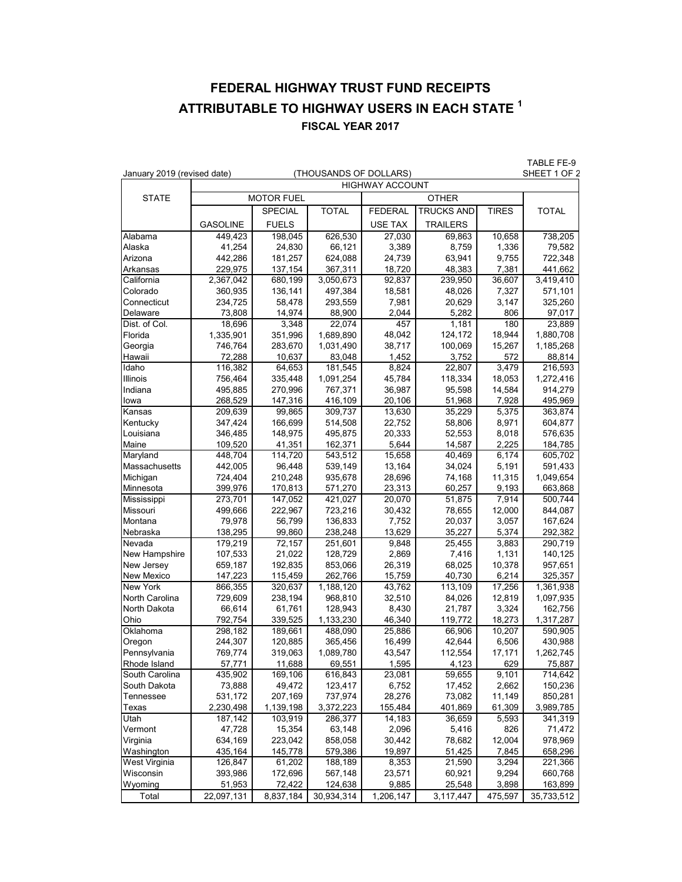## **FEDERAL HIGHWAY TRUST FUND RECEIPTS ATTRIBUTABLE TO HIGHWAY USERS IN EACH STATE 1 FISCAL YEAR 2017**

|                     |                                                       |                   |                    |                 |                   |                 | TABLE FE-9         |  |
|---------------------|-------------------------------------------------------|-------------------|--------------------|-----------------|-------------------|-----------------|--------------------|--|
|                     | January 2019 (revised date)<br>(THOUSANDS OF DOLLARS) |                   |                    |                 |                   |                 | SHEET 1 OF 2       |  |
|                     | <b>HIGHWAY ACCOUNT</b>                                |                   |                    |                 |                   |                 |                    |  |
| <b>STATE</b>        |                                                       |                   | <b>MOTOR FUEL</b>  |                 | <b>OTHER</b>      |                 |                    |  |
|                     |                                                       | <b>SPECIAL</b>    | <b>TOTAL</b>       | <b>FEDERAL</b>  | <b>TRUCKS AND</b> | <b>TIRES</b>    | TOTAL              |  |
|                     | <b>GASOLINE</b>                                       | <b>FUELS</b>      |                    | <b>USE TAX</b>  | <b>TRAILERS</b>   |                 |                    |  |
| Alabama             | 449,423                                               | 198,045           | 626,530            | 27,030          | 69,863            | 10,658          | 738,205            |  |
| Alaska              | 41,254                                                | 24,830            | 66,121             | 3,389           | 8,759             | 1,336           | 79,582             |  |
| Arizona             | 442,286                                               | 181,257           | 624,088            | 24,739          | 63,941            | 9,755           | 722,348            |  |
| Arkansas            | 229,975                                               | 137,154           | 367,311            | 18,720          | 48,383            | 7,381           | 441,662            |  |
| California          | 2,367,042                                             | 680,199           | 3,050,673          | 92,837          | 239,950           | 36,607          | 3,419,410          |  |
| Colorado            | 360,935                                               | 136,141           | 497,384            | 18,581          | 48,026            | 7,327           | 571,101            |  |
| Connecticut         | 234,725                                               | 58,478            | 293,559            | 7,981           | 20,629            | 3,147           | 325,260            |  |
| Delaware            | 73,808                                                | 14,974            | 88,900             | 2,044           | 5,282             | 806             | 97,017             |  |
| Dist. of Col.       | 18,696                                                | 3,348             | 22,074             | 457             | 1,181             | 180             | 23,889             |  |
| Florida             | 1,335,901                                             | 351,996           | 1,689,890          | 48,042          | 124,172           | 18,944          | 1,880,708          |  |
| Georgia             | 746,764                                               | 283,670           | 1,031,490          | 38,717          | 100,069           | 15,267          | 1,185,268          |  |
| Hawaii              | 72,288                                                | 10,637            | 83,048             | 1,452           | 3,752             | 572             | 88,814             |  |
| Idaho               | 116,382                                               | 64,653            | 181,545            | 8,824           | 22,807            | 3,479           | 216,593            |  |
| Illinois            | 756,464                                               | 335,448           | 1,091,254          | 45,784          | 118,334           | 18,053          | 1,272,416          |  |
| Indiana             | 495,885                                               | 270,996           | 767,371            | 36,987          | 95,598            | 14,584          | 914,279            |  |
| lowa                | 268,529                                               | 147,316           | 416,109            | 20,106          | 51,968            | 7,928           | 495,969            |  |
| Kansas              | 209,639                                               | 99,865            | 309,737            | 13,630          | 35,229            | 5,375           | 363,874            |  |
| Kentucky            | 347,424                                               | 166,699           | 514,508            | 22,752          | 58,806            | 8,971           | 604,877            |  |
| Louisiana           | 346,485                                               | 148,975           | 495,875            | 20,333          | 52,553            | 8,018           | 576,635            |  |
| Maine               | 109,520                                               | 41,351            | 162,371            | 5,644           | 14,587            | 2,225           | 184,785            |  |
| Maryland            | 448.704                                               | 114,720           | 543,512            | 15,658          | 40,469            | 6,174           | 605,702            |  |
| Massachusetts       | 442,005                                               | 96,448            | 539,149            | 13,164          | 34,024            | 5,191           | 591,433            |  |
| Michigan            | 724,404                                               | 210,248           | 935,678            | 28,696          | 74,168            | 11,315          | 1,049,654          |  |
| Minnesota           | 399,976                                               | 170,813           | 571,270            | 23,313          | 60,257            | 9,193           | 663,868            |  |
| Mississippi         | 273,701                                               | 147,052           | 421,027            | 20,070          | 51,875            | 7,914           | 500,744            |  |
| Missouri<br>Montana | 499,666<br>79,978                                     | 222,967<br>56,799 | 723,216<br>136,833 | 30,432<br>7,752 | 78,655<br>20,037  | 12,000<br>3,057 | 844,087            |  |
| Nebraska            |                                                       | 99,860            | 238,248            | 13,629          | 35,227            | 5,374           | 167,624<br>292,382 |  |
| Nevada              | 138,295<br>179,219                                    | 72,157            | 251,601            | 9,848           | 25,455            | 3,883           | 290,719            |  |
| New Hampshire       | 107,533                                               | 21,022            | 128,729            | 2,869           | 7,416             | 1,131           | 140,125            |  |
| New Jersey          | 659,187                                               | 192,835           | 853,066            | 26,319          | 68,025            | 10,378          | 957,651            |  |
| <b>New Mexico</b>   | 147,223                                               | 115,459           | 262,766            | 15,759          | 40,730            | 6,214           | 325,357            |  |
| New York            | 866,355                                               | 320,637           | 1,188,120          | 43,762          | 113,109           | 17,256          | 1,361,938          |  |
| North Carolina      | 729,609                                               | 238,194           | 968,810            | 32,510          | 84,026            | 12,819          | 1,097,935          |  |
| North Dakota        | 66,614                                                | 61,761            | 128,943            | 8,430           | 21,787            | 3,324           | 162,756            |  |
| Ohio                | 792,754                                               | 339,525           | 1,133,230          | 46,340          | 119,772           | 18,273          | 1,317,287          |  |
| Oklahoma            | 298,182                                               | 189,661           | 488,090            | 25,886          | 66,906            | 10,207          | 590,905            |  |
| Oregon              | 244,307                                               | 120,885           | 365,456            | 16,499          | 42,644            | 6,506           | 430,988            |  |
| Pennsylvania        | 769,774                                               | 319,063           | 1,089,780          | 43,547          | 112,554           | 17,171          | 1,262,745          |  |
| Rhode Island        | 57,771                                                | 11,688            | 69,551             | 1,595           | 4,123             | 629             | 75,887             |  |
| South Carolina      | 435,902                                               | 169,106           | 616,843            | 23,081          | 59,655            | 9,101           | 714,642            |  |
| South Dakota        | 73,888                                                | 49,472            | 123,417            | 6,752           | 17,452            | 2,662           | 150,236            |  |
| Tennessee           | 531,172                                               | 207,169           | 737,974            | 28,276          | 73,082            | 11,149          | 850,281            |  |
| Texas               | 2,230,498                                             | 1,139,198         | 3,372,223          | 155,484         | 401,869           | 61,309          | 3,989,785          |  |
| Utah                | 187,142                                               | 103,919           | 286,377            | 14,183          | 36,659            | 5,593           | 341,319            |  |
| Vermont             | 47,728                                                | 15,354            | 63,148             | 2,096           | 5,416             | 826             | 71,472             |  |
| Virginia            | 634,169                                               | 223,042           | 858,058            | 30,442          | 78,682            | 12,004          | 978,969            |  |
| Washington          | 435,164                                               | 145,778           | 579,386            | 19,897          | 51,425            | 7,845           | 658,296            |  |
| West Virginia       | 126,847                                               | 61,202            | 188,189            | 8,353           | 21,590            | 3,294           | 221,366            |  |
| Wisconsin           | 393,986                                               | 172,696           | 567,148            | 23,571          | 60,921            | 9,294           | 660,768            |  |
| Wyoming             | 51,953                                                | 72,422            | 124,638            | 9,885           | 25,548            | 3,898           | 163,899            |  |
| Total               | 22,097,131                                            | 8,837,184         | 30,934,314         | 1,206,147       | 3,117,447         | 475,597         | 35,733,512         |  |